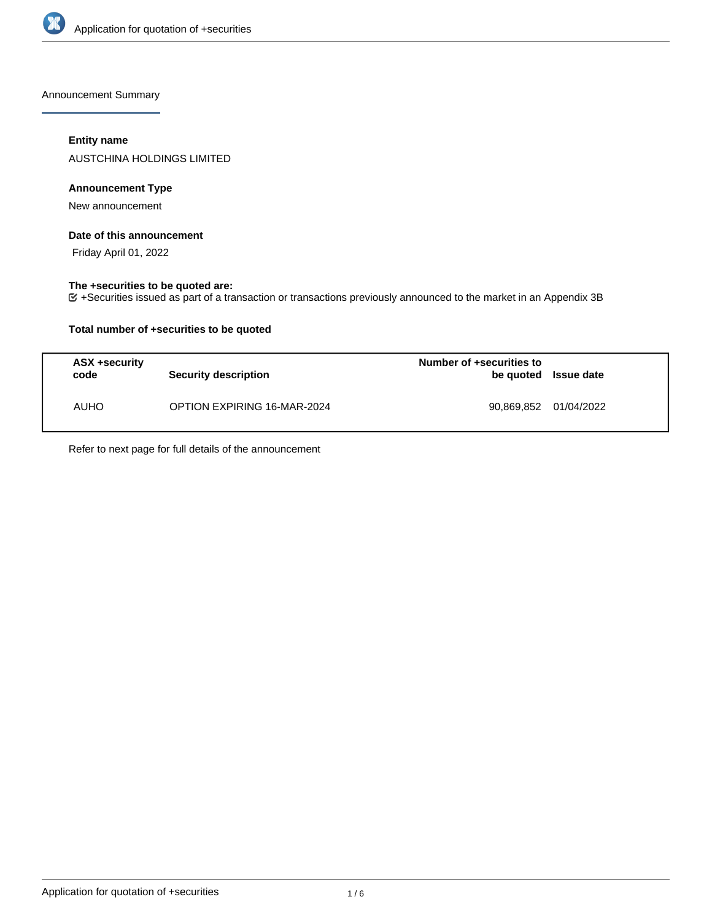

Announcement Summary

## **Entity name**

AUSTCHINA HOLDINGS LIMITED

## **Announcement Type**

New announcement

#### **Date of this announcement**

Friday April 01, 2022

### **The +securities to be quoted are:**

+Securities issued as part of a transaction or transactions previously announced to the market in an Appendix 3B

## **Total number of +securities to be quoted**

| ASX +security<br>code | <b>Security description</b>        | Number of +securities to<br>be quoted Issue date |  |
|-----------------------|------------------------------------|--------------------------------------------------|--|
| <b>AUHO</b>           | <b>OPTION EXPIRING 16-MAR-2024</b> | 90,869,852 01/04/2022                            |  |

Refer to next page for full details of the announcement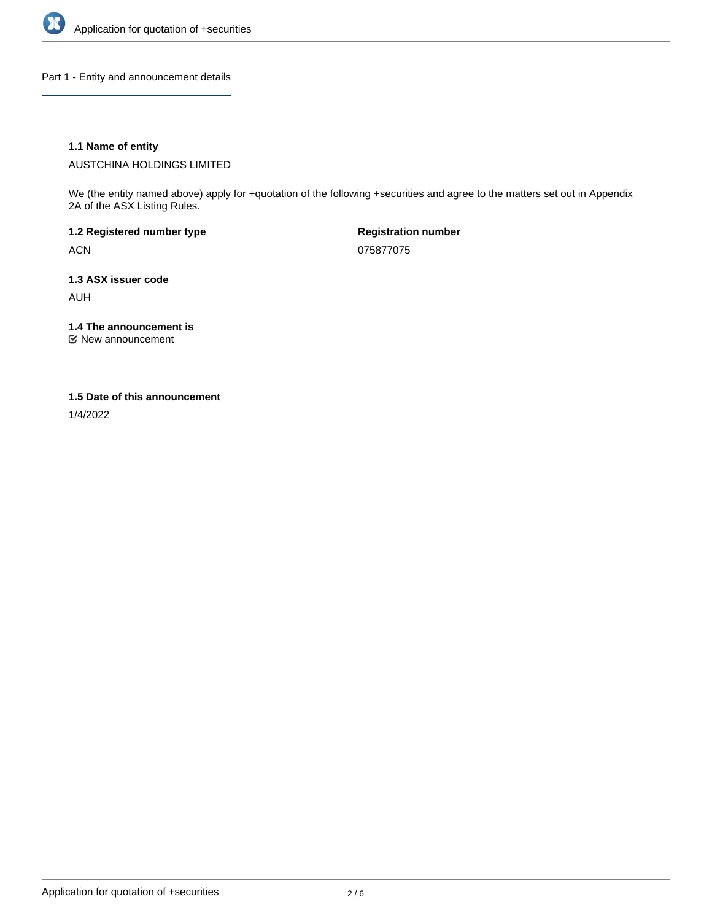

Part 1 - Entity and announcement details

## **1.1 Name of entity**

AUSTCHINA HOLDINGS LIMITED

We (the entity named above) apply for +quotation of the following +securities and agree to the matters set out in Appendix 2A of the ASX Listing Rules.

**1.2 Registered number type** ACN

**Registration number** 075877075

**1.3 ASX issuer code** AUH

**1.4 The announcement is**

New announcement

#### **1.5 Date of this announcement**

1/4/2022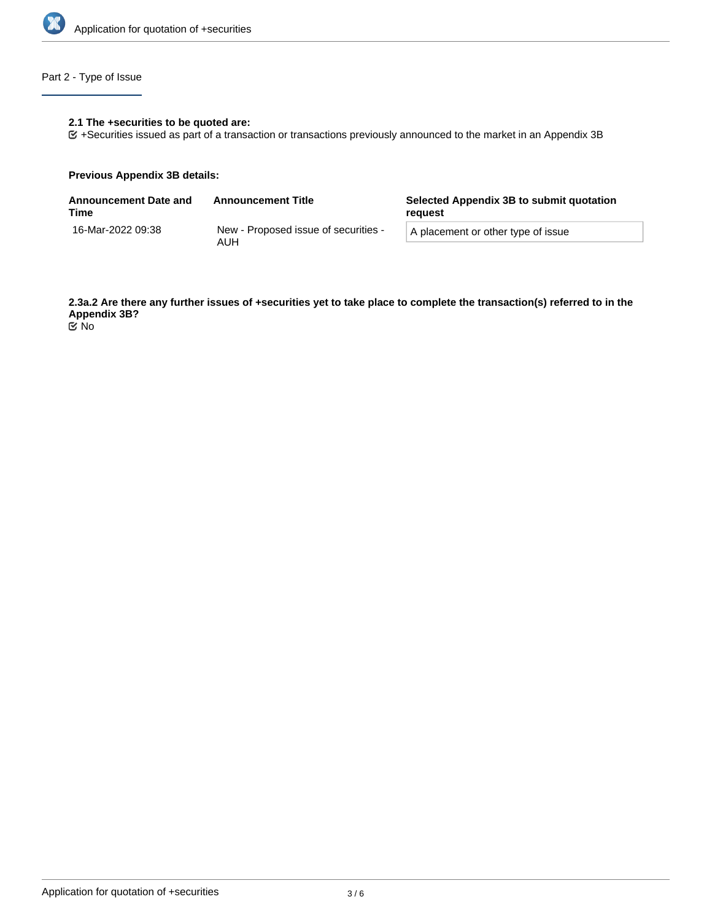

# Part 2 - Type of Issue

## **2.1 The +securities to be quoted are:**

+Securities issued as part of a transaction or transactions previously announced to the market in an Appendix 3B

#### **Previous Appendix 3B details:**

| <b>Announcement Date and</b><br>Time | <b>Announcement Title</b>                   | Selected Appendix 3B to submit quotation<br>reauest |  |
|--------------------------------------|---------------------------------------------|-----------------------------------------------------|--|
| 16-Mar-2022 09:38                    | New - Proposed issue of securities -<br>AUH | A placement or other type of issue                  |  |

**2.3a.2 Are there any further issues of +securities yet to take place to complete the transaction(s) referred to in the Appendix 3B?** No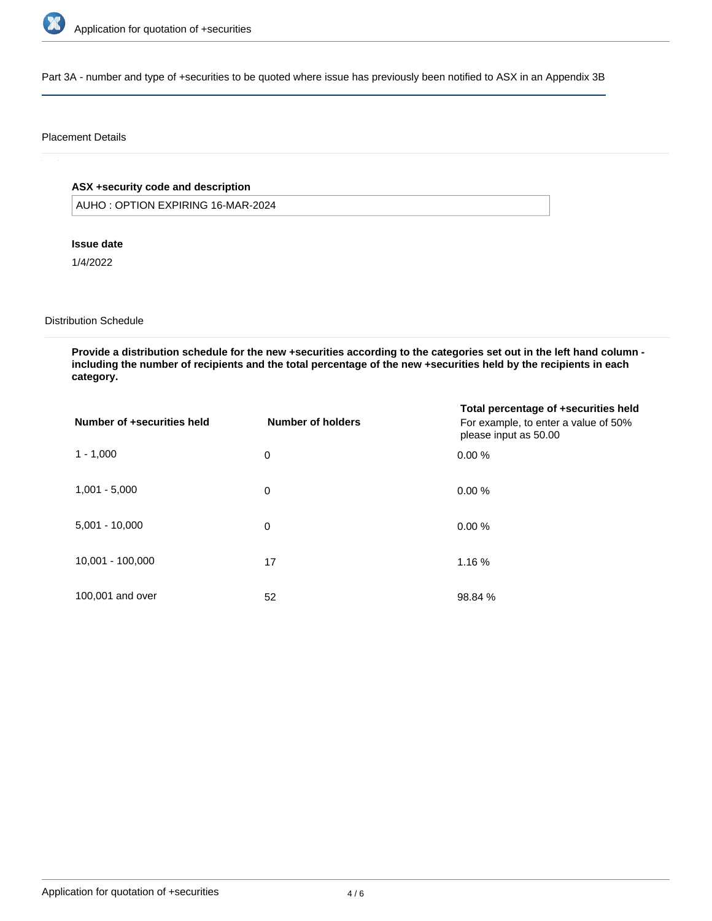

Part 3A - number and type of +securities to be quoted where issue has previously been notified to ASX in an Appendix 3B

#### Placement Details

# **ASX +security code and description**

AUHO : OPTION EXPIRING 16-MAR-2024

### **Issue date**

1/4/2022

# Distribution Schedule

**Provide a distribution schedule for the new +securities according to the categories set out in the left hand column including the number of recipients and the total percentage of the new +securities held by the recipients in each category.**

| Number of +securities held | <b>Number of holders</b> | Total percentage of +securities held<br>For example, to enter a value of 50%<br>please input as 50.00 |
|----------------------------|--------------------------|-------------------------------------------------------------------------------------------------------|
| $1 - 1,000$                | 0                        | 0.00%                                                                                                 |
| $1,001 - 5,000$            | 0                        | 0.00%                                                                                                 |
| $5,001 - 10,000$           | 0                        | 0.00%                                                                                                 |
| 10,001 - 100,000           | 17                       | 1.16 %                                                                                                |
| 100,001 and over           | 52                       | 98.84 %                                                                                               |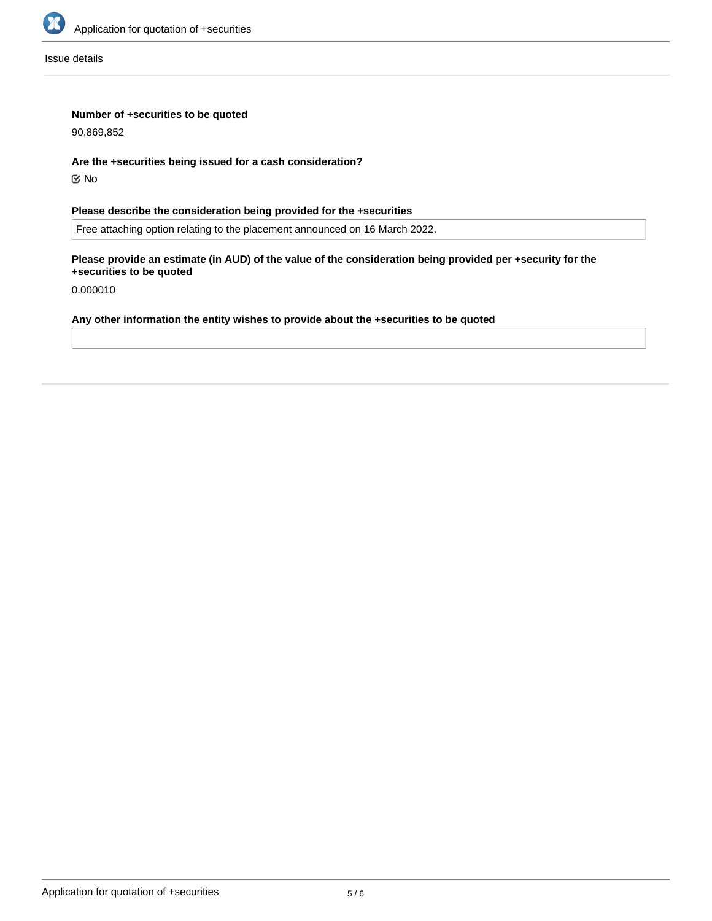

Issue details

## **Number of +securities to be quoted**

90,869,852

#### **Are the +securities being issued for a cash consideration?**

No

# **Please describe the consideration being provided for the +securities**

Free attaching option relating to the placement announced on 16 March 2022.

## **Please provide an estimate (in AUD) of the value of the consideration being provided per +security for the +securities to be quoted**

0.000010

# **Any other information the entity wishes to provide about the +securities to be quoted**